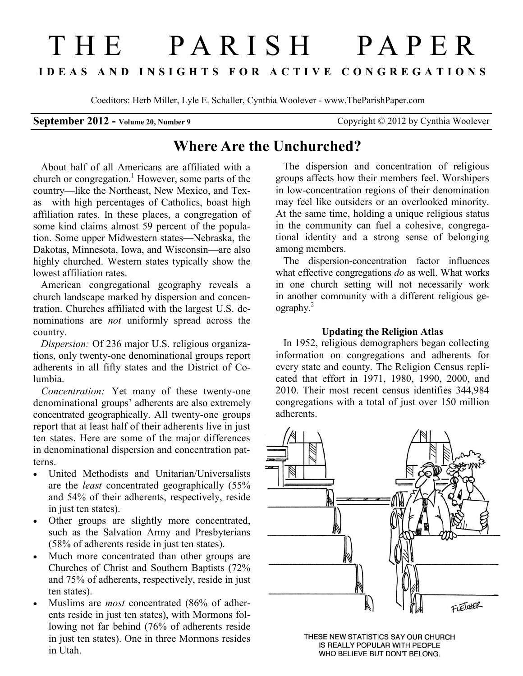# THE PARISH PAPER **I D E A S A N D I N S I G H T S F O R A C T I V E C O N G R E G A T I O N S**

Coeditors: Herb Miller, Lyle E. Schaller, Cynthia Woolever - www.TheParishPaper.com

# **September 2012 - Volume 20, Number 9** Copyright © 2012 by Cynthia Woolever

# **Where Are the Unchurched?**

 About half of all Americans are affiliated with a church or congregation.<sup>1</sup> However, some parts of the country—like the Northeast, New Mexico, and Texas—with high percentages of Catholics, boast high affiliation rates. In these places, a congregation of some kind claims almost 59 percent of the population. Some upper Midwestern states—Nebraska, the Dakotas, Minnesota, Iowa, and Wisconsin—are also highly churched. Western states typically show the lowest affiliation rates.

 American congregational geography reveals a church landscape marked by dispersion and concentration. Churches affiliated with the largest U.S. denominations are *not* uniformly spread across the country.

 *Dispersion:* Of 236 major U.S. religious organizations, only twenty-one denominational groups report adherents in all fifty states and the District of Columbia.

 *Concentration:* Yet many of these twenty-one denominational groups' adherents are also extremely concentrated geographically. All twenty-one groups report that at least half of their adherents live in just ten states. Here are some of the major differences in denominational dispersion and concentration patterns.

- United Methodists and Unitarian/Universalists are the *least* concentrated geographically (55% and 54% of their adherents, respectively, reside in just ten states).
- Other groups are slightly more concentrated, such as the Salvation Army and Presbyterians (58% of adherents reside in just ten states).
- Much more concentrated than other groups are Churches of Christ and Southern Baptists (72% and 75% of adherents, respectively, reside in just ten states).
- Muslims are *most* concentrated (86% of adherents reside in just ten states), with Mormons following not far behind (76% of adherents reside in just ten states). One in three Mormons resides in Utah.

 The dispersion and concentration of religious groups affects how their members feel. Worshipers in low-concentration regions of their denomination may feel like outsiders or an overlooked minority. At the same time, holding a unique religious status in the community can fuel a cohesive, congregational identity and a strong sense of belonging among members.

 The dispersion-concentration factor influences what effective congregations *do* as well. What works in one church setting will not necessarily work in another community with a different religious geography.<sup>2</sup>

## **Updating the Religion Atlas**

 In 1952, religious demographers began collecting information on congregations and adherents for every state and county. The Religion Census replicated that effort in 1971, 1980, 1990, 2000, and 2010. Their most recent census identifies 344,984 congregations with a total of just over 150 million adherents.



THESE NEW STATISTICS SAY OUR CHURCH IS REALLY POPULAR WITH PEOPLE WHO BELIEVE BUT DON'T BELONG.